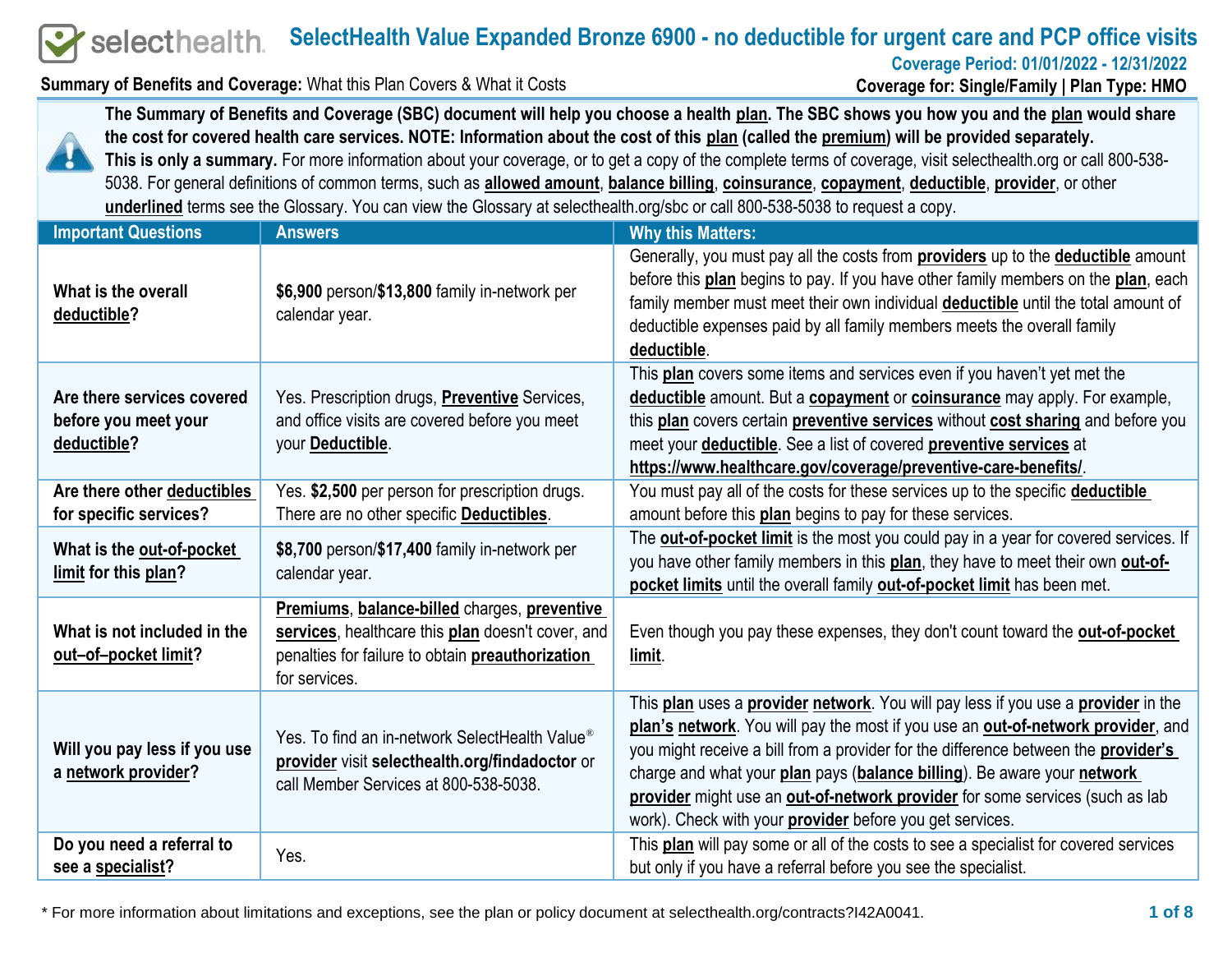#### **SelectHealth Value Expanded Bronze 6900 - no deductible for urgent care and PCP office visits** selecthealth.

**Coverage Period: 01/01/2022 - 12/31/2022**

**Summary of Benefits and Coverage:** What this Plan Covers & What it Costs

**Coverage for: Single/Family | Plan Type: HMO**



**The Summary of Benefits and Coverage (SBC) document will help you choose a health plan. The SBC shows you how you and the plan would share the cost for covered health care services. NOTE: Information about the cost of this plan (called the premium) will be provided separately. This is only a summary.** For more information about your coverage, or to get a copy of the complete terms of coverage, visit selecthealth.org or call 800-538- 5038. For general definitions of common terms, such as **allowed amount**, **balance billing**, **coinsurance**, **copayment**, **deductible**, **provider**, or other **underlined** terms see the Glossary. You can view the Glossary at selecthealth.org/sbc or call 800-538-5038 to request a copy.

| <b>Important Questions</b>                                        | <b>Answers</b>                                                                                                                                                         | <b>Why this Matters:</b>                                                                                                                                                                                                                                                                                                                                                                                                                                                                  |
|-------------------------------------------------------------------|------------------------------------------------------------------------------------------------------------------------------------------------------------------------|-------------------------------------------------------------------------------------------------------------------------------------------------------------------------------------------------------------------------------------------------------------------------------------------------------------------------------------------------------------------------------------------------------------------------------------------------------------------------------------------|
| What is the overall<br>deductible?                                | \$6,900 person/\$13,800 family in-network per<br>calendar year.                                                                                                        | Generally, you must pay all the costs from <b>providers</b> up to the <b>deductible</b> amount<br>before this plan begins to pay. If you have other family members on the plan, each<br>family member must meet their own individual <b>deductible</b> until the total amount of<br>deductible expenses paid by all family members meets the overall family<br>deductible.                                                                                                                |
| Are there services covered<br>before you meet your<br>deductible? | Yes. Prescription drugs, <b>Preventive</b> Services,<br>and office visits are covered before you meet<br>your Deductible.                                              | This plan covers some items and services even if you haven't yet met the<br>deductible amount. But a copayment or coinsurance may apply. For example,<br>this plan covers certain preventive services without cost sharing and before you<br>meet your <b>deductible</b> . See a list of covered <b>preventive services</b> at<br>https://www.healthcare.gov/coverage/preventive-care-benefits/.                                                                                          |
| Are there other deductibles<br>for specific services?             | Yes. \$2,500 per person for prescription drugs.<br>There are no other specific Deductibles.                                                                            | You must pay all of the costs for these services up to the specific deductible<br>amount before this <b>plan</b> begins to pay for these services.                                                                                                                                                                                                                                                                                                                                        |
| What is the out-of-pocket<br>limit for this plan?                 | \$8,700 person/\$17,400 family in-network per<br>calendar year.                                                                                                        | The <b>out-of-pocket limit</b> is the most you could pay in a year for covered services. If<br>you have other family members in this plan, they have to meet their own out-of-<br>pocket limits until the overall family out-of-pocket limit has been met.                                                                                                                                                                                                                                |
| What is not included in the<br>out-of-pocket limit?               | Premiums, balance-billed charges, preventive<br>services, healthcare this plan doesn't cover, and<br>penalties for failure to obtain preauthorization<br>for services. | Even though you pay these expenses, they don't count toward the out-of-pocket<br>limit.                                                                                                                                                                                                                                                                                                                                                                                                   |
| Will you pay less if you use<br>a network provider?               | Yes. To find an in-network SelectHealth Value <sup>®</sup><br>provider visit selecthealth.org/findadoctor or<br>call Member Services at 800-538-5038.                  | This plan uses a provider network. You will pay less if you use a provider in the<br>plan's network. You will pay the most if you use an out-of-network provider, and<br>you might receive a bill from a provider for the difference between the <b>provider's</b><br>charge and what your plan pays (balance billing). Be aware your network<br>provider might use an out-of-network provider for some services (such as lab<br>work). Check with your provider before you get services. |
| Do you need a referral to<br>see a specialist?                    | Yes.                                                                                                                                                                   | This plan will pay some or all of the costs to see a specialist for covered services<br>but only if you have a referral before you see the specialist.                                                                                                                                                                                                                                                                                                                                    |

\* For more information about limitations and exceptions, see the plan or policy document at selecthealth.org/contracts?I42A0041. **1 of 8**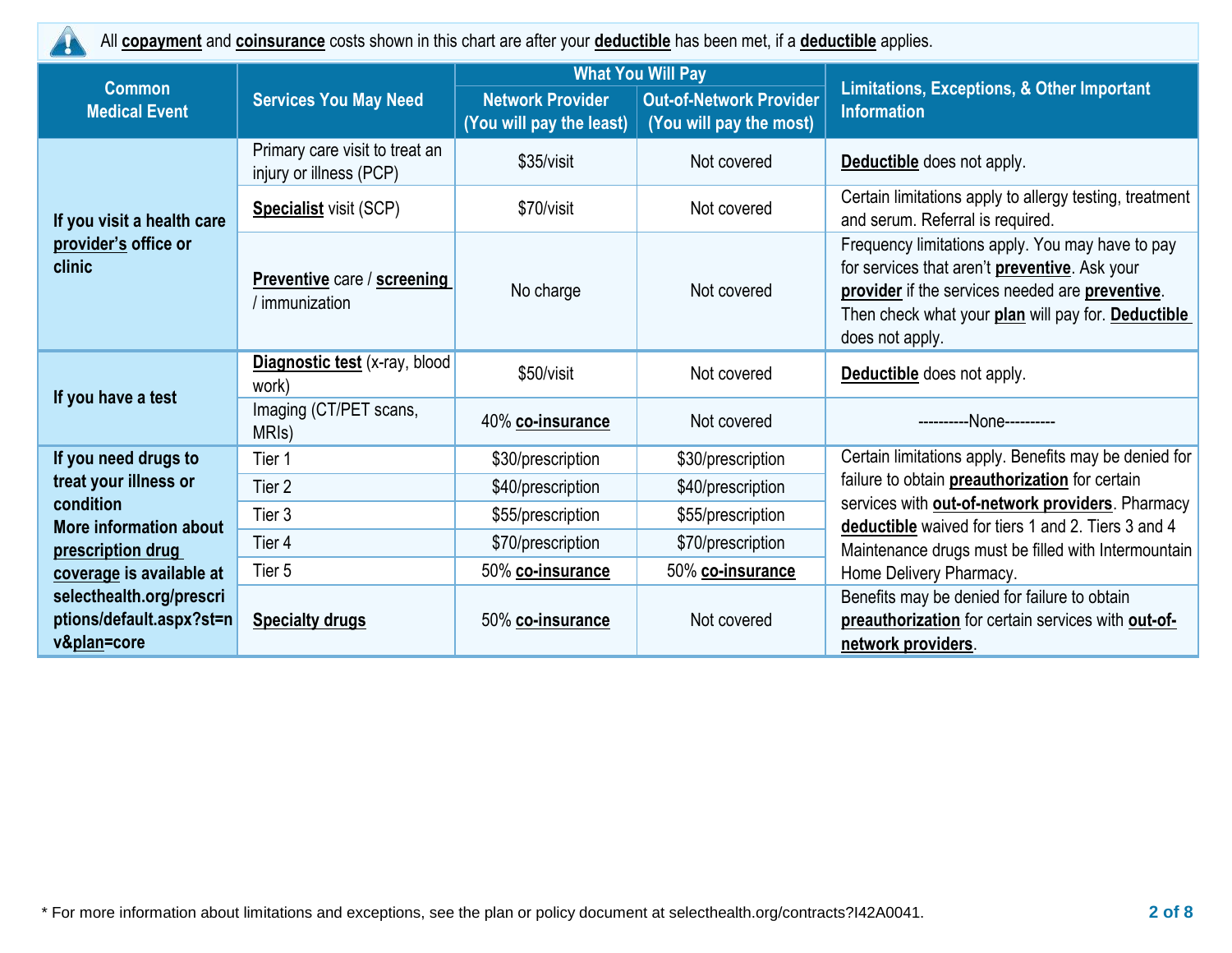20

All **copayment** and **coinsurance** costs shown in this chart are after your **deductible** has been met, if a **deductible** applies.

|                                                                                      |                                                           |                                                     | <b>What You Will Pay</b>                                  |                                                                                                                                                                                                                               |  |
|--------------------------------------------------------------------------------------|-----------------------------------------------------------|-----------------------------------------------------|-----------------------------------------------------------|-------------------------------------------------------------------------------------------------------------------------------------------------------------------------------------------------------------------------------|--|
| <b>Common</b><br><b>Medical Event</b>                                                | <b>Services You May Need</b>                              | <b>Network Provider</b><br>(You will pay the least) | <b>Out-of-Network Provider</b><br>(You will pay the most) | <b>Limitations, Exceptions, &amp; Other Important</b><br><b>Information</b>                                                                                                                                                   |  |
|                                                                                      | Primary care visit to treat an<br>injury or illness (PCP) | \$35/visit                                          | Not covered                                               | <b>Deductible</b> does not apply.                                                                                                                                                                                             |  |
| If you visit a health care                                                           | <b>Specialist</b> visit (SCP)                             | \$70/visit                                          | Not covered                                               | Certain limitations apply to allergy testing, treatment<br>and serum. Referral is required.                                                                                                                                   |  |
| provider's office or<br>clinic                                                       | <b>Preventive care / screening</b><br>/ immunization      | No charge                                           | Not covered                                               | Frequency limitations apply. You may have to pay<br>for services that aren't preventive. Ask your<br>provider if the services needed are preventive.<br>Then check what your plan will pay for. Deductible<br>does not apply. |  |
|                                                                                      | Diagnostic test (x-ray, blood<br>work)                    | \$50/visit                                          | Not covered                                               | Deductible does not apply.                                                                                                                                                                                                    |  |
| If you have a test                                                                   | Imaging (CT/PET scans,<br>MRI <sub>s</sub> )              | 40% co-insurance                                    | Not covered                                               | ----------None----------                                                                                                                                                                                                      |  |
| If you need drugs to                                                                 | Tier 1                                                    | \$30/prescription                                   | \$30/prescription                                         | Certain limitations apply. Benefits may be denied for                                                                                                                                                                         |  |
| treat your illness or                                                                | Tier <sub>2</sub>                                         | \$40/prescription                                   | \$40/prescription                                         | failure to obtain <b>preauthorization</b> for certain                                                                                                                                                                         |  |
| condition<br>More information about<br>prescription drug<br>coverage is available at | Tier <sub>3</sub>                                         | \$55/prescription                                   | \$55/prescription                                         | services with out-of-network providers. Pharmacy<br>deductible waived for tiers 1 and 2. Tiers 3 and 4                                                                                                                        |  |
|                                                                                      | Tier 4                                                    | \$70/prescription                                   | \$70/prescription                                         | Maintenance drugs must be filled with Intermountain                                                                                                                                                                           |  |
|                                                                                      | Tier 5                                                    | 50% <u>co-insurance</u>                             | 50% co-insurance                                          | Home Delivery Pharmacy.                                                                                                                                                                                                       |  |
| selecthealth.org/prescri<br>ptions/default.aspx?st=n<br>v&plan=core                  | <b>Specialty drugs</b>                                    | 50% co-insurance                                    | Not covered                                               | Benefits may be denied for failure to obtain<br>preauthorization for certain services with out-of-<br>network providers.                                                                                                      |  |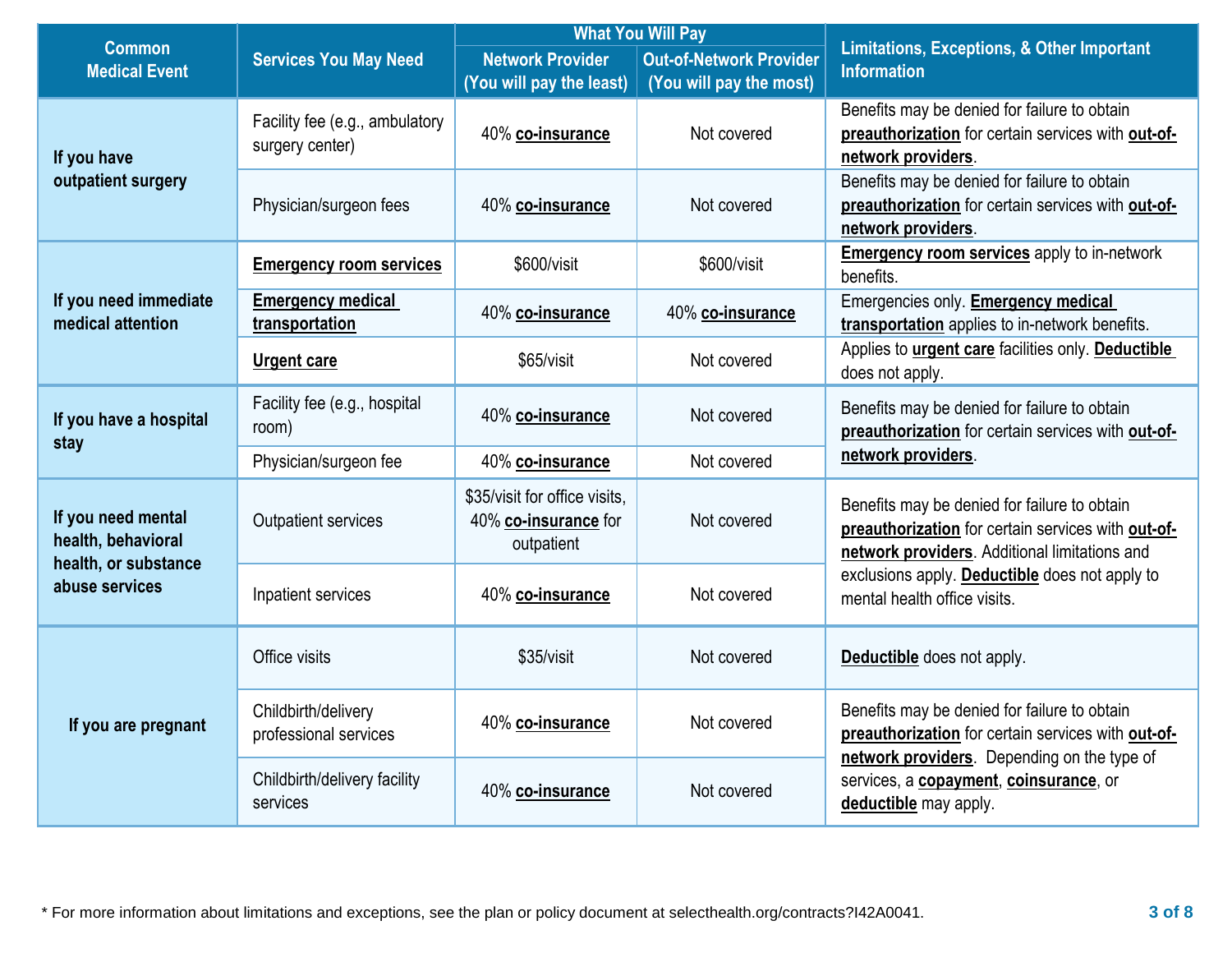|                                                                  |                                                              | <b>What You Will Pay</b>                                            |                                                           |                                                                                                                                                     |  |
|------------------------------------------------------------------|--------------------------------------------------------------|---------------------------------------------------------------------|-----------------------------------------------------------|-----------------------------------------------------------------------------------------------------------------------------------------------------|--|
| <b>Common</b><br><b>Medical Event</b>                            | <b>Services You May Need</b>                                 | <b>Network Provider</b><br>(You will pay the least)                 | <b>Out-of-Network Provider</b><br>(You will pay the most) | <b>Limitations, Exceptions, &amp; Other Important</b><br><b>Information</b>                                                                         |  |
| If you have                                                      | Facility fee (e.g., ambulatory<br>surgery center)            | 40% co-insurance                                                    | Not covered                                               | Benefits may be denied for failure to obtain<br>preauthorization for certain services with out-of-<br>network providers.                            |  |
| outpatient surgery                                               | Physician/surgeon fees                                       | 40% co-insurance                                                    | Not covered                                               | Benefits may be denied for failure to obtain<br>preauthorization for certain services with out-of-<br>network providers.                            |  |
|                                                                  | <b>Emergency room services</b>                               | \$600/visit                                                         | \$600/visit                                               | <b>Emergency room services</b> apply to in-network<br>benefits.                                                                                     |  |
| If you need immediate<br>medical attention                       | <b>Emergency medical</b><br>transportation                   | 40% co-insurance                                                    | 40% co-insurance                                          | Emergencies only. <b>Emergency medical</b><br>transportation applies to in-network benefits.                                                        |  |
|                                                                  | <b>Urgent care</b>                                           | \$65/visit                                                          | Not covered                                               | Applies to <i>urgent care</i> facilities only. Deductible<br>does not apply.                                                                        |  |
| If you have a hospital<br>stay                                   | Facility fee (e.g., hospital<br>room)                        | 40% co-insurance                                                    | Not covered                                               | Benefits may be denied for failure to obtain<br>preauthorization for certain services with out-of-                                                  |  |
|                                                                  | Physician/surgeon fee                                        | 40% co-insurance                                                    | Not covered                                               | network providers.                                                                                                                                  |  |
| If you need mental<br>health, behavioral<br>health, or substance | <b>Outpatient services</b>                                   | \$35/visit for office visits,<br>40% co-insurance for<br>outpatient | Not covered                                               | Benefits may be denied for failure to obtain<br>preauthorization for certain services with out-of-<br>network providers. Additional limitations and |  |
| abuse services                                                   | Inpatient services                                           | 40% co-insurance                                                    | Not covered                                               | exclusions apply. Deductible does not apply to<br>mental health office visits.                                                                      |  |
|                                                                  | Office visits                                                | \$35/visit                                                          | Not covered                                               | Deductible does not apply.                                                                                                                          |  |
| If you are pregnant                                              | Childbirth/delivery<br>professional services                 | 40% co-insurance                                                    | Not covered                                               | Benefits may be denied for failure to obtain<br>preauthorization for certain services with out-of-<br>network providers. Depending on the type of   |  |
|                                                                  | Childbirth/delivery facility<br>40% co-insurance<br>services |                                                                     | Not covered                                               | services, a <b>copayment</b> , <b>coinsurance</b> , or<br>deductible may apply.                                                                     |  |

\* For more information about limitations and exceptions, see the plan or policy document at selecthealth.org/contracts?I42A0041. **3 of 8**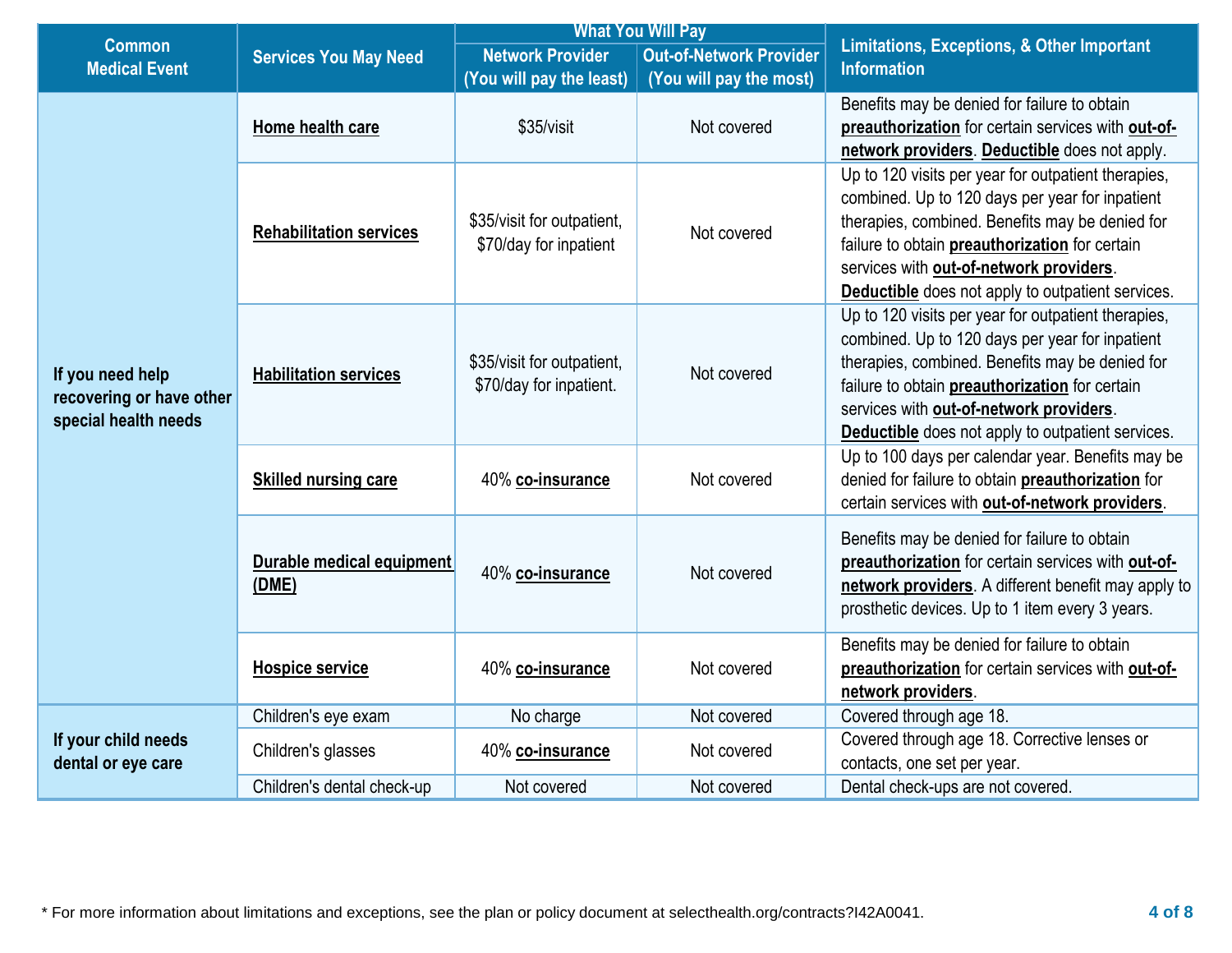|                                                                      |                                    |                                                                      | <b>What You Will Pay</b>       |                                                                                                                                                                                                                                                                                                                    |
|----------------------------------------------------------------------|------------------------------------|----------------------------------------------------------------------|--------------------------------|--------------------------------------------------------------------------------------------------------------------------------------------------------------------------------------------------------------------------------------------------------------------------------------------------------------------|
| <b>Common</b><br><b>Medical Event</b>                                | <b>Services You May Need</b>       | <b>Network Provider</b>                                              | <b>Out-of-Network Provider</b> | <b>Limitations, Exceptions, &amp; Other Important</b><br><b>Information</b>                                                                                                                                                                                                                                        |
|                                                                      |                                    | (You will pay the least)                                             | (You will pay the most)        |                                                                                                                                                                                                                                                                                                                    |
| If you need help<br>recovering or have other<br>special health needs | Home health care                   | \$35/visit<br>Not covered                                            |                                | Benefits may be denied for failure to obtain<br>preauthorization for certain services with out-of-<br>network providers. Deductible does not apply.                                                                                                                                                                |
|                                                                      | <b>Rehabilitation services</b>     | \$35/visit for outpatient,<br>\$70/day for inpatient                 | Not covered                    | Up to 120 visits per year for outpatient therapies,<br>combined. Up to 120 days per year for inpatient<br>therapies, combined. Benefits may be denied for<br>failure to obtain preauthorization for certain<br>services with out-of-network providers.<br><b>Deductible</b> does not apply to outpatient services. |
|                                                                      | <b>Habilitation services</b>       | \$35/visit for outpatient,<br>Not covered<br>\$70/day for inpatient. |                                | Up to 120 visits per year for outpatient therapies,<br>combined. Up to 120 days per year for inpatient<br>therapies, combined. Benefits may be denied for<br>failure to obtain preauthorization for certain<br>services with out-of-network providers.<br><b>Deductible</b> does not apply to outpatient services. |
|                                                                      | <b>Skilled nursing care</b>        | 40% co-insurance                                                     | Not covered                    | Up to 100 days per calendar year. Benefits may be<br>denied for failure to obtain preauthorization for<br>certain services with out-of-network providers.                                                                                                                                                          |
|                                                                      | Durable medical equipment<br>(DME) | 40% co-insurance                                                     | Not covered                    | Benefits may be denied for failure to obtain<br>preauthorization for certain services with out-of-<br>network providers. A different benefit may apply to<br>prosthetic devices. Up to 1 item every 3 years.                                                                                                       |
|                                                                      | <b>Hospice service</b>             | 40% co-insurance                                                     | Not covered                    | Benefits may be denied for failure to obtain<br>preauthorization for certain services with out-of-<br>network providers.                                                                                                                                                                                           |
|                                                                      | Children's eye exam                | No charge                                                            | Not covered                    | Covered through age 18.                                                                                                                                                                                                                                                                                            |
| If your child needs<br>dental or eye care                            | Children's glasses                 | 40% co-insurance                                                     | Not covered                    | Covered through age 18. Corrective lenses or<br>contacts, one set per year.                                                                                                                                                                                                                                        |
|                                                                      | Children's dental check-up         | Not covered                                                          | Not covered                    | Dental check-ups are not covered.                                                                                                                                                                                                                                                                                  |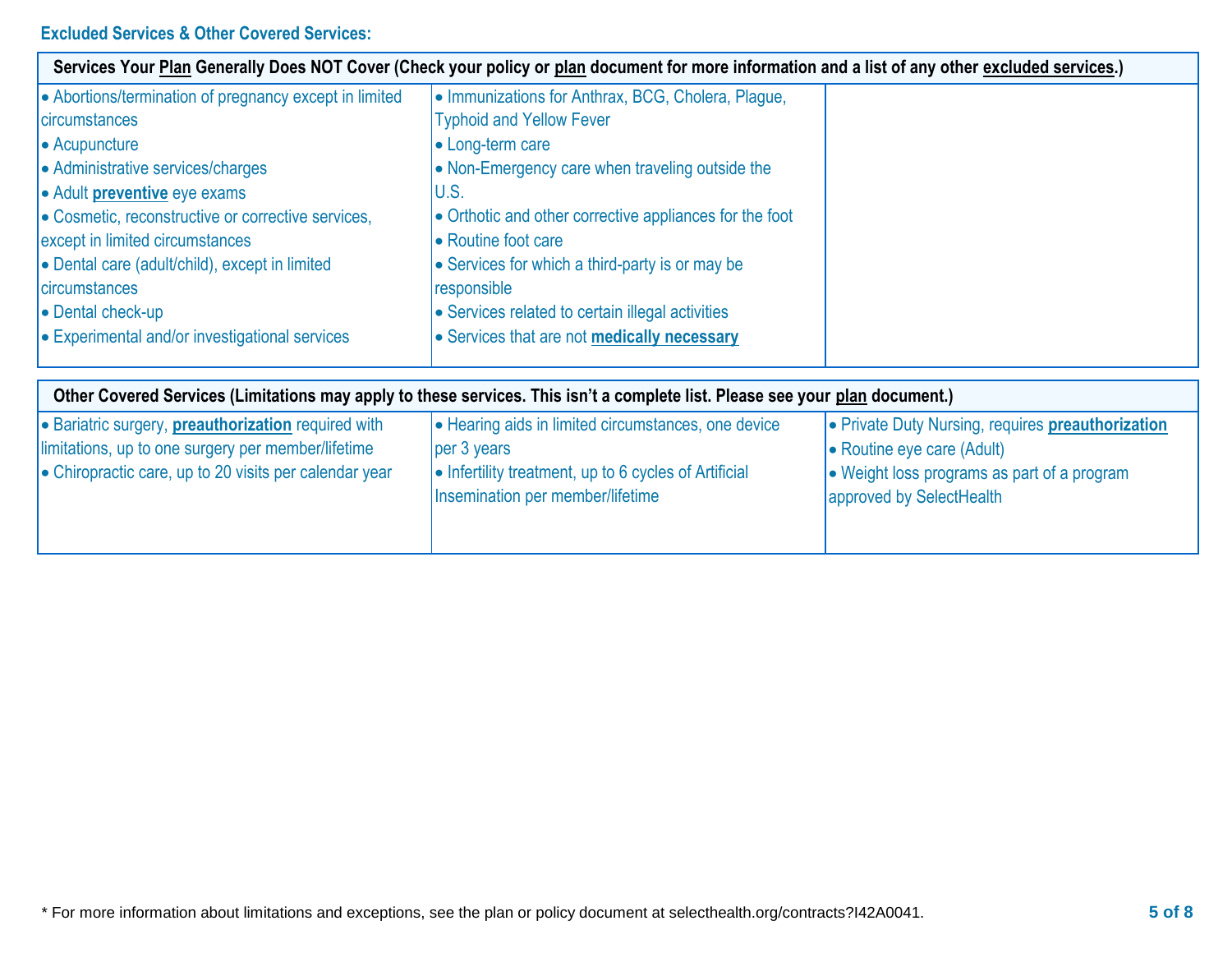## **Excluded Services & Other Covered Services:**

|                                                            | Services Your Plan Generally Does NOT Cover (Check your policy or plan document for more information and a list of any other excluded services.) |                                                                         |
|------------------------------------------------------------|--------------------------------------------------------------------------------------------------------------------------------------------------|-------------------------------------------------------------------------|
| • Abortions/termination of pregnancy except in limited     | • Immunizations for Anthrax, BCG, Cholera, Plague,                                                                                               |                                                                         |
| <b>circumstances</b>                                       | <b>Typhoid and Yellow Fever</b>                                                                                                                  |                                                                         |
| • Acupuncture                                              | • Long-term care                                                                                                                                 |                                                                         |
| • Administrative services/charges                          | • Non-Emergency care when traveling outside the                                                                                                  |                                                                         |
| • Adult <b>preventive</b> eye exams                        | U.S.                                                                                                                                             |                                                                         |
| • Cosmetic, reconstructive or corrective services,         | • Orthotic and other corrective appliances for the foot                                                                                          |                                                                         |
| except in limited circumstances                            | • Routine foot care                                                                                                                              |                                                                         |
| • Dental care (adult/child), except in limited             | • Services for which a third-party is or may be                                                                                                  |                                                                         |
| <b>circumstances</b>                                       | responsible                                                                                                                                      |                                                                         |
| • Dental check-up                                          | • Services related to certain illegal activities                                                                                                 |                                                                         |
| • Experimental and/or investigational services             | • Services that are not <b>medically necessary</b>                                                                                               |                                                                         |
|                                                            | Other Covered Services (Limitations may apply to these services. This isn't a complete list. Please see your plan document.)                     |                                                                         |
| • Bariatric surgery, <b>preauthorization</b> required with | • Hearing aids in limited circumstances, one device                                                                                              | • Private Duty Nursing, requires preauthorization                       |
| limitations, up to one surgery per member/lifetime         | per 3 years                                                                                                                                      | • Routine eye care (Adult)                                              |
| • Chiropractic care, up to 20 visits per calendar year     | • Infertility treatment, up to 6 cycles of Artificial<br>Insemination per member/lifetime                                                        | • Weight loss programs as part of a program<br>approved by SelectHealth |
|                                                            |                                                                                                                                                  |                                                                         |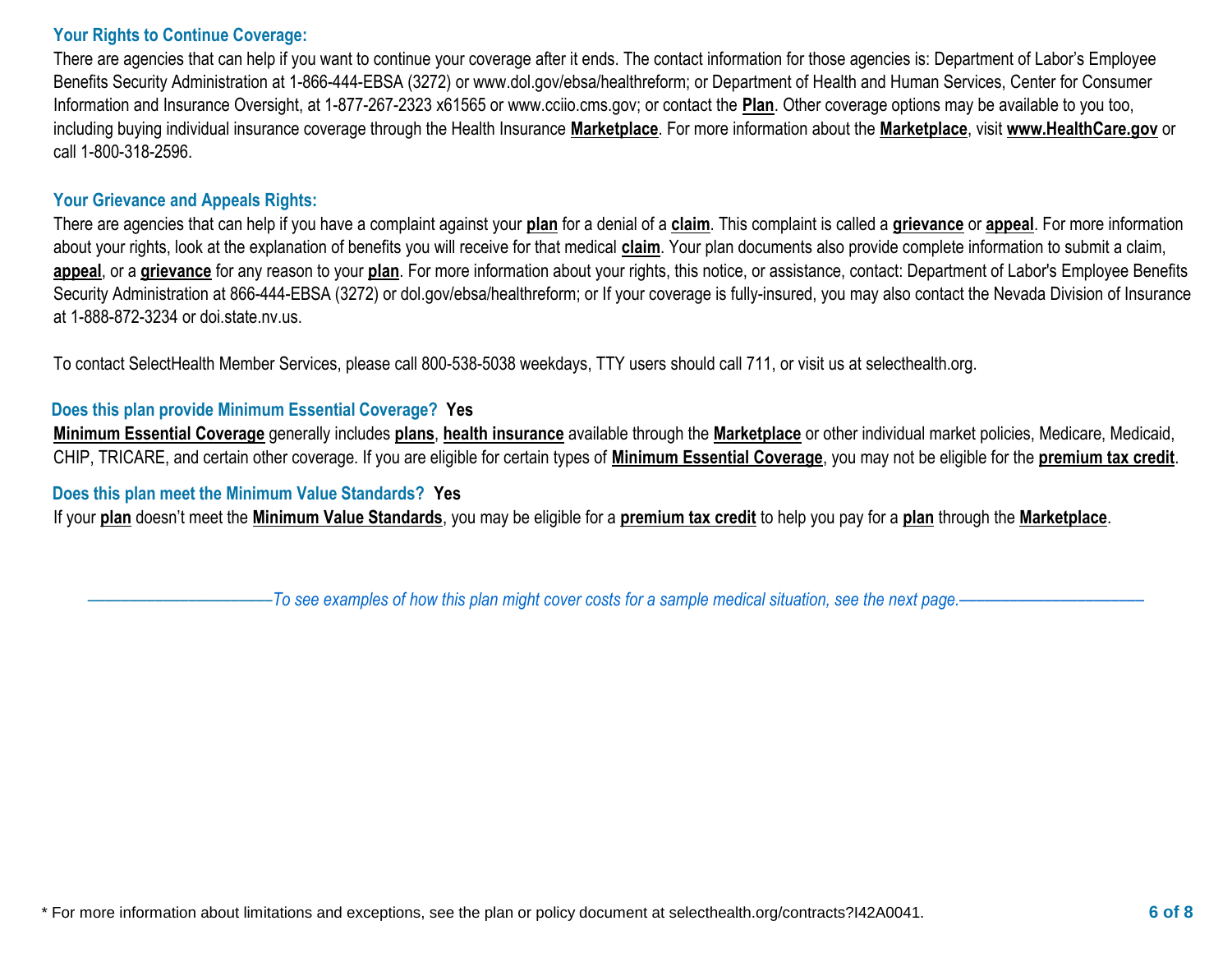#### **Your Rights to Continue Coverage:**

There are agencies that can help if you want to continue your coverage after it ends. The contact information for those agencies is: Department of Labor's Employee Benefits Security Administration at 1-866-444-EBSA (3272) or www.dol.gov/ebsa/healthreform; or Department of Health and Human Services, Center for Consumer Information and Insurance Oversight, at 1-877-267-2323 x61565 or www.cciio.cms.gov; or contact the **Plan**. Other coverage options may be available to you too, including buying individual insurance coverage through the Health Insurance **Marketplace**. For more information about the **Marketplace**, visit **www.HealthCare.gov** or call 1-800-318-2596.

#### **Your Grievance and Appeals Rights:**

There are agencies that can help if you have a complaint against your **plan** for a denial of a **claim**. This complaint is called a **grievance** or **appeal**. For more information about your rights, look at the explanation of benefits you will receive for that medical **claim**. Your plan documents also provide complete information to submit a claim, **appeal**, or a **grievance** for any reason to your **plan**. For more information about your rights, this notice, or assistance, contact: Department of Labor's Employee Benefits Security Administration at 866-444-EBSA (3272) or dol.gov/ebsa/healthreform; or If your coverage is fully-insured, you may also contact the Nevada Division of Insurance at 1-888-872-3234 or doi.state.nv.us.

To contact SelectHealth Member Services, please call 800-538-5038 weekdays, TTY users should call 711, or visit us at selecthealth.org.

#### **Does this plan provide Minimum Essential Coverage? Yes**

**Minimum Essential Coverage** generally includes **plans**, **health insurance** available through the **Marketplace** or other individual market policies, Medicare, Medicaid, CHIP, TRICARE, and certain other coverage. If you are eligible for certain types of **Minimum Essential Coverage**, you may not be eligible for the **premium tax credit**.

#### **Does this plan meet the Minimum Value Standards? Yes**

If your **plan** doesn't meet the **Minimum Value Standards**, you may be eligible for a **premium tax credit** to help you pay for a **plan** through the **Marketplace**.

––––––––––––––––––––––*To see examples of how this plan might cover costs for a sample medical situation, see the next page.––––––––––––––––––––––*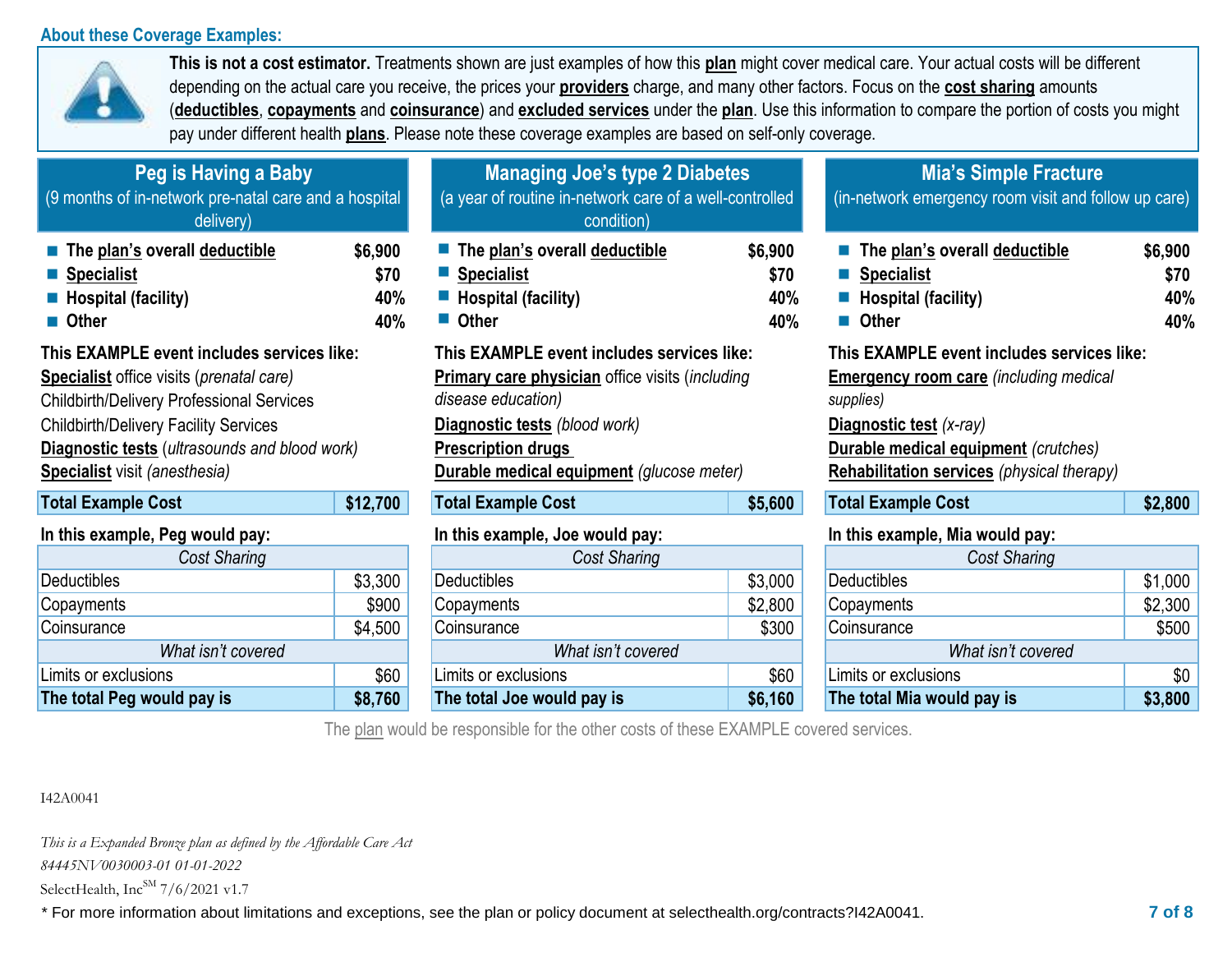#### **About these Coverage Examples:**



**This is not a cost estimator.** Treatments shown are just examples of how this **plan** might cover medical care. Your actual costs will be different depending on the actual care you receive, the prices your **providers** charge, and many other factors. Focus on the **cost sharing** amounts (**deductibles**, **copayments** and **coinsurance**) and **excluded services** under the **plan**. Use this information to compare the portion of costs you might pay under different health **plans**. Please note these coverage examples are based on self-only coverage.

| Peg is Having a Baby<br>(9 months of in-network pre-natal care and a hospital<br>delivery)                                                                                                                                                                                                                 |                               | <b>Managing Joe's type 2 Diabetes</b><br>(a year of routine in-network care of a well-controlled<br>condition)                                                                                                                        |                               | <b>Mia's Simple Fracture</b><br>(in-network emergency room visit and follow up care)                                                                                                                                                    |                               |  |
|------------------------------------------------------------------------------------------------------------------------------------------------------------------------------------------------------------------------------------------------------------------------------------------------------------|-------------------------------|---------------------------------------------------------------------------------------------------------------------------------------------------------------------------------------------------------------------------------------|-------------------------------|-----------------------------------------------------------------------------------------------------------------------------------------------------------------------------------------------------------------------------------------|-------------------------------|--|
| The plan's overall deductible<br>Specialist<br>$\blacksquare$ Hospital (facility)<br>■ Other                                                                                                                                                                                                               | \$6,900<br>\$70<br>40%<br>40% | The plan's overall deductible<br>■ Specialist<br>Hospital (facility)<br>■ Other                                                                                                                                                       | \$6,900<br>\$70<br>40%<br>40% | ■ The plan's overall deductible<br>■ Specialist<br>$\blacksquare$ Hospital (facility)<br>■ Other                                                                                                                                        | \$6,900<br>\$70<br>40%<br>40% |  |
| This EXAMPLE event includes services like:<br><b>Specialist</b> office visits ( <i>prenatal care</i> )<br><b>Childbirth/Delivery Professional Services</b><br><b>Childbirth/Delivery Facility Services</b><br><b>Diagnostic tests</b> (ultrasounds and blood work)<br><b>Specialist</b> visit (anesthesia) |                               | This EXAMPLE event includes services like:<br><b>Primary care physician office visits (including</b><br>disease education)<br>Diagnostic tests (blood work)<br><b>Prescription drugs</b><br>Durable medical equipment (glucose meter) |                               | This EXAMPLE event includes services like:<br><b>Emergency room care (including medical</b><br>supplies)<br>Diagnostic test (x-ray)<br><b>Durable medical equipment</b> (crutches)<br><b>Rehabilitation services</b> (physical therapy) |                               |  |
| <b>Total Example Cost</b>                                                                                                                                                                                                                                                                                  | \$12,700                      | <b>Total Example Cost</b>                                                                                                                                                                                                             | \$5,600                       | <b>Total Example Cost</b>                                                                                                                                                                                                               | \$2,800                       |  |
| In this example, Peg would pay:                                                                                                                                                                                                                                                                            |                               | In this example, Joe would pay:                                                                                                                                                                                                       |                               | In this example, Mia would pay:                                                                                                                                                                                                         |                               |  |
| Cost Sharing                                                                                                                                                                                                                                                                                               |                               | Cost Sharing                                                                                                                                                                                                                          |                               | Cost Sharing                                                                                                                                                                                                                            |                               |  |
| Deductibles                                                                                                                                                                                                                                                                                                | \$3,300                       | <b>Deductibles</b>                                                                                                                                                                                                                    | \$3,000                       | <b>Deductibles</b>                                                                                                                                                                                                                      | \$1,000                       |  |
| Copayments                                                                                                                                                                                                                                                                                                 | \$900                         | Copayments                                                                                                                                                                                                                            | \$2,800                       | Copayments                                                                                                                                                                                                                              | \$2,300                       |  |

| The total Peg would pay is | \$8,760 | The total Joe would pay is | \$6,160 | The total Mia would pay is | \$3,800 |
|----------------------------|---------|----------------------------|---------|----------------------------|---------|
| Limits or exclusions       | \$60    | Limits or exclusions       | \$60    | Limits or exclusions       | \$0     |
| What isn't covered         |         | What isn't covered         |         | What isn't covered         |         |
| Coinsurance                | \$4,500 | Coinsurance                | \$300   | Coinsurance                | \$500   |
| Copayments                 | ຉຩຩຩ    | Copayments                 | \$2,800 | Copayments                 | \$2,300 |

| ■ ∪tner                                                                                                                                                                                                                               | 40%     |  |  |  |
|---------------------------------------------------------------------------------------------------------------------------------------------------------------------------------------------------------------------------------------|---------|--|--|--|
| This EXAMPLE event includes services like:<br>Primary care physician office visits (including<br>disease education)<br>Diagnostic tests (blood work)<br><b>Prescription drugs</b><br><b>Durable medical equipment</b> (glucose meter) |         |  |  |  |
| <b>Total Example Cost</b>                                                                                                                                                                                                             | \$5,600 |  |  |  |
| In this example, Joe would pay:                                                                                                                                                                                                       |         |  |  |  |
| <b>Cost Sharing</b>                                                                                                                                                                                                                   |         |  |  |  |
| Deductibles                                                                                                                                                                                                                           | \$3,000 |  |  |  |
| Copayments                                                                                                                                                                                                                            | \$2,800 |  |  |  |
| Coinsurance                                                                                                                                                                                                                           | \$300   |  |  |  |
| What isn't covered                                                                                                                                                                                                                    |         |  |  |  |

|         | in this example, Joe would pay: |              | in this example, mia would pay: |               |
|---------|---------------------------------|--------------|---------------------------------|---------------|
|         | Cost Sharing                    |              | Cost Sharing                    |               |
| \$3,300 | <b>Deductibles</b>              | \$3,000      | <b>Deductibles</b>              | \$1,000       |
| \$900   | Copayments                      | \$2,800      | Copayments                      | \$2,300       |
| \$4,500 | Coinsurance                     | \$300        | Coinsurance                     | \$500         |
|         | What isn't covered              |              | What isn't covered              |               |
| \$60    | Limits or exclusions            | \$60         | Limits or exclusions            | \$0           |
| en sen  | The tatal las way la way is     | <b>ACACO</b> | The tetal Mis montainers in     | <b>AO OOO</b> |

The plan would be responsible for the other costs of these EXAMPLE covered services.

#### I42A0041

*This is a Expanded Bronze plan as defined by the Affordable Care Act* 

*84445NV0030003-01 01-01-2022*

SelectHealth, Inc $^{SM}$  7/6/2021 v1.7

\* For more information about limitations and exceptions, see the plan or policy document at selecthealth.org/contracts?I42A0041. **7 of 8**